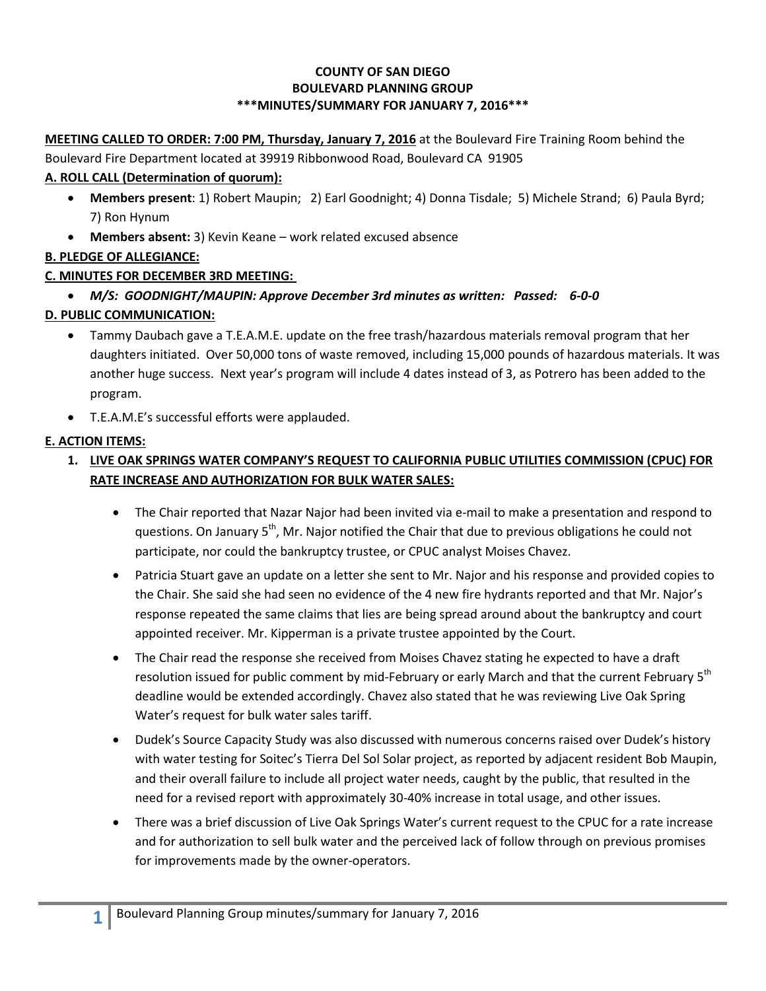#### **COUNTY OF SAN DIEGO BOULEVARD PLANNING GROUP \*\*\*MINUTES/SUMMARY FOR JANUARY 7, 2016\*\*\***

**MEETING CALLED TO ORDER: 7:00 PM, Thursday, January 7, 2016** at the Boulevard Fire Training Room behind the

Boulevard Fire Department located at 39919 Ribbonwood Road, Boulevard CA 91905

### **A. ROLL CALL (Determination of quorum):**

- **Members present**: 1) Robert Maupin; 2) Earl Goodnight; 4) Donna Tisdale; 5) Michele Strand; 6) Paula Byrd; 7) Ron Hynum
- **Members absent:** 3) Kevin Keane work related excused absence

## **B. PLEDGE OF ALLEGIANCE:**

## **C. MINUTES FOR DECEMBER 3RD MEETING:**

*M/S: GOODNIGHT/MAUPIN: Approve December 3rd minutes as written: Passed: 6-0-0*

## **D. PUBLIC COMMUNICATION:**

- Tammy Daubach gave a T.E.A.M.E. update on the free trash/hazardous materials removal program that her daughters initiated. Over 50,000 tons of waste removed, including 15,000 pounds of hazardous materials. It was another huge success. Next year's program will include 4 dates instead of 3, as Potrero has been added to the program.
- T.E.A.M.E's successful efforts were applauded.

## **E. ACTION ITEMS:**

# **1. LIVE OAK SPRINGS WATER COMPANY'S REQUEST TO CALIFORNIA PUBLIC UTILITIES COMMISSION (CPUC) FOR RATE INCREASE AND AUTHORIZATION FOR BULK WATER SALES:**

- The Chair reported that Nazar Najor had been invited via e-mail to make a presentation and respond to questions. On January  $5<sup>th</sup>$ , Mr. Najor notified the Chair that due to previous obligations he could not participate, nor could the bankruptcy trustee, or CPUC analyst Moises Chavez.
- Patricia Stuart gave an update on a letter she sent to Mr. Najor and his response and provided copies to the Chair. She said she had seen no evidence of the 4 new fire hydrants reported and that Mr. Najor's response repeated the same claims that lies are being spread around about the bankruptcy and court appointed receiver. Mr. Kipperman is a private trustee appointed by the Court.
- The Chair read the response she received from Moises Chavez stating he expected to have a draft resolution issued for public comment by mid-February or early March and that the current February 5<sup>th</sup> deadline would be extended accordingly. Chavez also stated that he was reviewing Live Oak Spring Water's request for bulk water sales tariff.
- Dudek's Source Capacity Study was also discussed with numerous concerns raised over Dudek's history with water testing for Soitec's Tierra Del Sol Solar project, as reported by adjacent resident Bob Maupin, and their overall failure to include all project water needs, caught by the public, that resulted in the need for a revised report with approximately 30-40% increase in total usage, and other issues.
- There was a brief discussion of Live Oak Springs Water's current request to the CPUC for a rate increase and for authorization to sell bulk water and the perceived lack of follow through on previous promises for improvements made by the owner-operators.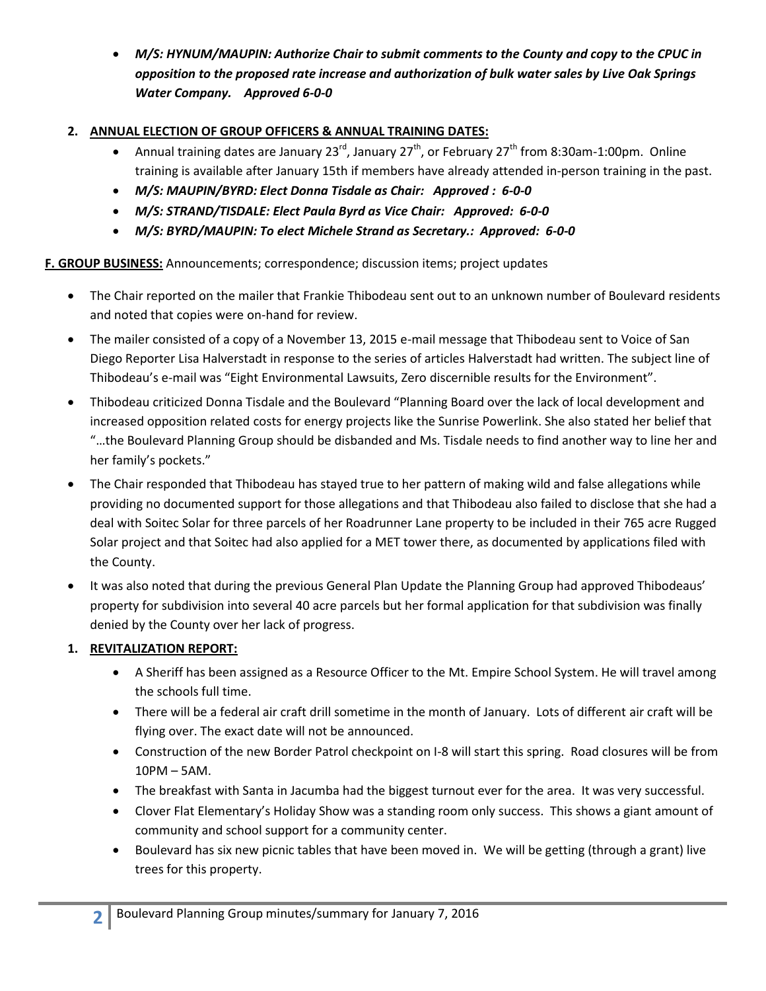*M/S: HYNUM/MAUPIN: Authorize Chair to submit comments to the County and copy to the CPUC in opposition to the proposed rate increase and authorization of bulk water sales by Live Oak Springs Water Company. Approved 6-0-0*

### **2. ANNUAL ELECTION OF GROUP OFFICERS & ANNUAL TRAINING DATES:**

- Annual training dates are January 23<sup>rd</sup>, January 27<sup>th</sup>, or February 27<sup>th</sup> from 8:30am-1:00pm. Online training is available after January 15th if members have already attended in-person training in the past.
- *M/S: MAUPIN/BYRD: Elect Donna Tisdale as Chair: Approved : 6-0-0*
- *M/S: STRAND/TISDALE: Elect Paula Byrd as Vice Chair: Approved: 6-0-0*
- *M/S: BYRD/MAUPIN: To elect Michele Strand as Secretary.: Approved: 6-0-0*

**F. GROUP BUSINESS:** Announcements; correspondence; discussion items; project updates

- The Chair reported on the mailer that Frankie Thibodeau sent out to an unknown number of Boulevard residents and noted that copies were on-hand for review.
- The mailer consisted of a copy of a November 13, 2015 e-mail message that Thibodeau sent to Voice of San Diego Reporter Lisa Halverstadt in response to the series of articles Halverstadt had written. The subject line of Thibodeau's e-mail was "Eight Environmental Lawsuits, Zero discernible results for the Environment".
- Thibodeau criticized Donna Tisdale and the Boulevard "Planning Board over the lack of local development and increased opposition related costs for energy projects like the Sunrise Powerlink. She also stated her belief that "…the Boulevard Planning Group should be disbanded and Ms. Tisdale needs to find another way to line her and her family's pockets."
- The Chair responded that Thibodeau has stayed true to her pattern of making wild and false allegations while providing no documented support for those allegations and that Thibodeau also failed to disclose that she had a deal with Soitec Solar for three parcels of her Roadrunner Lane property to be included in their 765 acre Rugged Solar project and that Soitec had also applied for a MET tower there, as documented by applications filed with the County.
- It was also noted that during the previous General Plan Update the Planning Group had approved Thibodeaus' property for subdivision into several 40 acre parcels but her formal application for that subdivision was finally denied by the County over her lack of progress.

### **1. REVITALIZATION REPORT:**

- A Sheriff has been assigned as a Resource Officer to the Mt. Empire School System. He will travel among the schools full time.
- There will be a federal air craft drill sometime in the month of January. Lots of different air craft will be flying over. The exact date will not be announced.
- Construction of the new Border Patrol checkpoint on I-8 will start this spring. Road closures will be from 10PM – 5AM.
- The breakfast with Santa in Jacumba had the biggest turnout ever for the area. It was very successful.
- Clover Flat Elementary's Holiday Show was a standing room only success. This shows a giant amount of community and school support for a community center.
- Boulevard has six new picnic tables that have been moved in. We will be getting (through a grant) live trees for this property.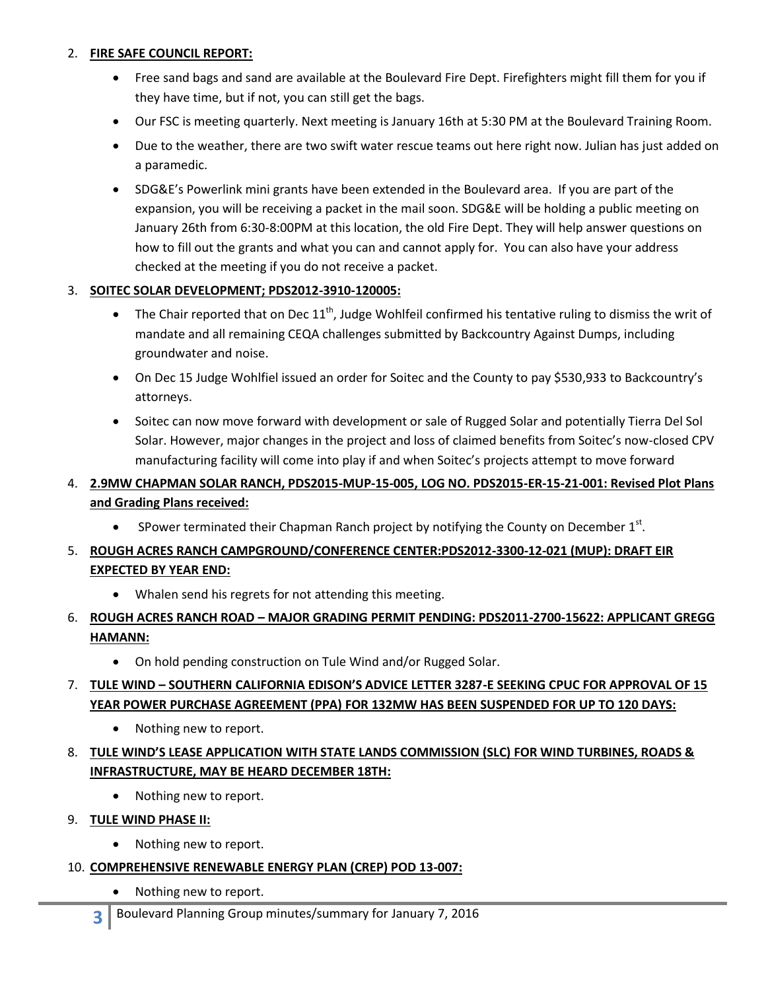#### 2. **FIRE SAFE COUNCIL REPORT:**

- Free sand bags and sand are available at the Boulevard Fire Dept. Firefighters might fill them for you if they have time, but if not, you can still get the bags.
- Our FSC is meeting quarterly. Next meeting is January 16th at 5:30 PM at the Boulevard Training Room.
- Due to the weather, there are two swift water rescue teams out here right now. Julian has just added on a paramedic.
- SDG&E's Powerlink mini grants have been extended in the Boulevard area. If you are part of the expansion, you will be receiving a packet in the mail soon. SDG&E will be holding a public meeting on January 26th from 6:30-8:00PM at this location, the old Fire Dept. They will help answer questions on how to fill out the grants and what you can and cannot apply for. You can also have your address checked at the meeting if you do not receive a packet.

#### 3. **SOITEC SOLAR DEVELOPMENT; PDS2012-3910-120005:**

- The Chair reported that on Dec  $11^{th}$ , Judge Wohlfeil confirmed his tentative ruling to dismiss the writ of mandate and all remaining CEQA challenges submitted by Backcountry Against Dumps, including groundwater and noise.
- On Dec 15 Judge Wohlfiel issued an order for Soitec and the County to pay \$530,933 to Backcountry's attorneys.
- Soitec can now move forward with development or sale of Rugged Solar and potentially Tierra Del Sol Solar. However, major changes in the project and loss of claimed benefits from Soitec's now-closed CPV manufacturing facility will come into play if and when Soitec's projects attempt to move forward

## 4. **2.9MW CHAPMAN SOLAR RANCH, PDS2015-MUP-15-005, LOG NO. PDS2015-ER-15-21-001: Revised Plot Plans and Grading Plans received:**

• SPower terminated their Chapman Ranch project by notifying the County on December  $1<sup>st</sup>$ .

## 5. **ROUGH ACRES RANCH CAMPGROUND/CONFERENCE CENTER:PDS2012-3300-12-021 (MUP): DRAFT EIR EXPECTED BY YEAR END:**

- Whalen send his regrets for not attending this meeting.
- 6. **ROUGH ACRES RANCH ROAD – MAJOR GRADING PERMIT PENDING: PDS2011-2700-15622: APPLICANT GREGG HAMANN:**
	- On hold pending construction on Tule Wind and/or Rugged Solar.

### 7. **TULE WIND – SOUTHERN CALIFORNIA EDISON'S ADVICE LETTER 3287-E SEEKING CPUC FOR APPROVAL OF 15 YEAR POWER PURCHASE AGREEMENT (PPA) FOR 132MW HAS BEEN SUSPENDED FOR UP TO 120 DAYS:**

• Nothing new to report.

## 8. **TULE WIND'S LEASE APPLICATION WITH STATE LANDS COMMISSION (SLC) FOR WIND TURBINES, ROADS & INFRASTRUCTURE, MAY BE HEARD DECEMBER 18TH:**

- Nothing new to report.
- 9. **TULE WIND PHASE II:** 
	- Nothing new to report.
- 10. **COMPREHENSIVE RENEWABLE ENERGY PLAN (CREP) POD 13-007:** 
	- Nothing new to report.
	- **3** Boulevard Planning Group minutes/summary for January 7, 2016